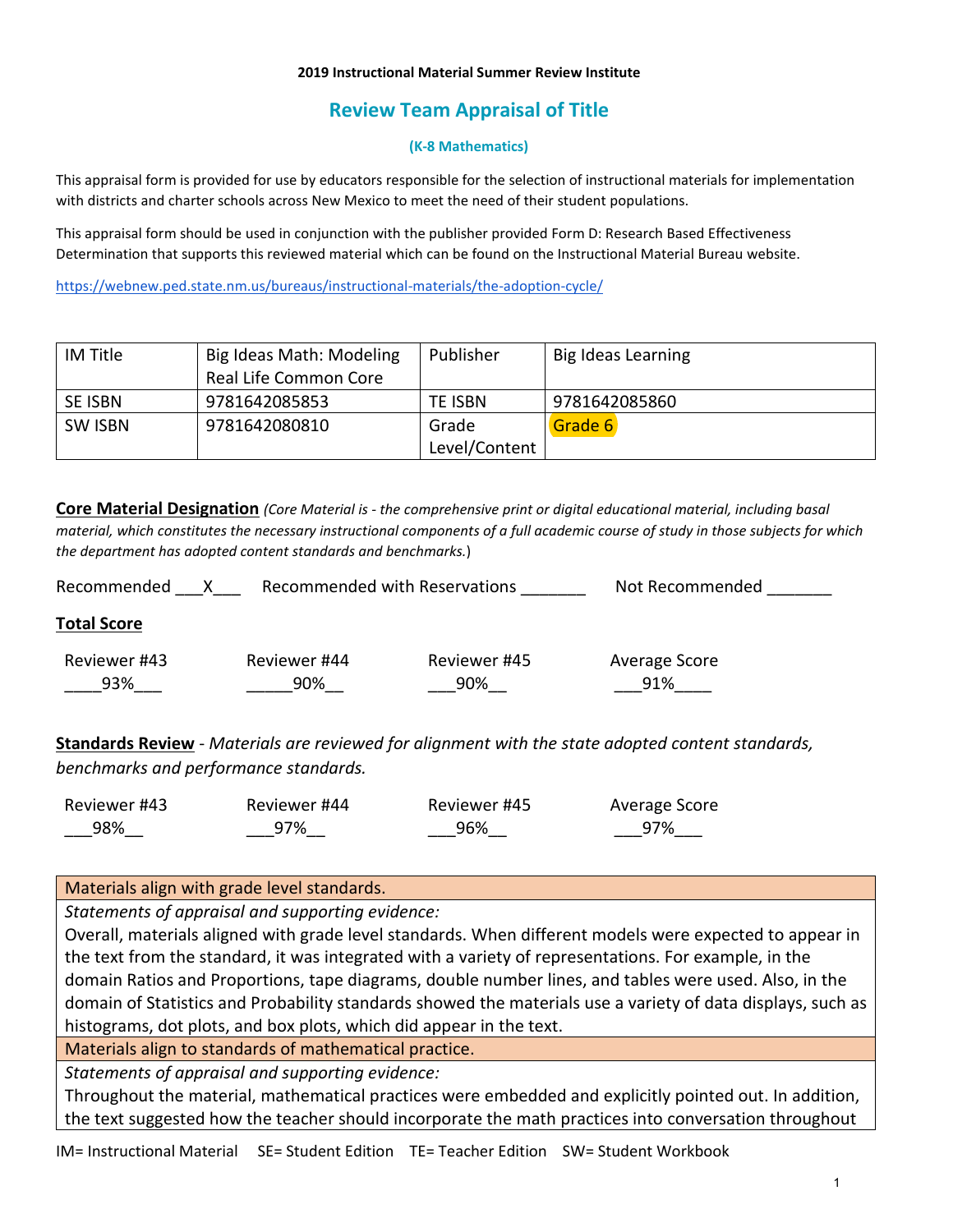### **2019 Instructional Material Summer Review Institute**

# **Review Team Appraisal of Title**

## **(K-8 Mathematics)**

This appraisal form is provided for use by educators responsible for the selection of instructional materials for implementation with districts and charter schools across New Mexico to meet the need of their student populations.

This appraisal form should be used in conjunction with the publisher provided Form D: Research Based Effectiveness Determination that supports this reviewed material which can be found on the Instructional Material Bureau website.

<https://webnew.ped.state.nm.us/bureaus/instructional-materials/the-adoption-cycle/>

| <b>IM Title</b> | Big Ideas Math: Modeling | Publisher     | Big Ideas Learning |
|-----------------|--------------------------|---------------|--------------------|
|                 | Real Life Common Core    |               |                    |
| <b>SE ISBN</b>  | 9781642085853            | TE ISBN       | 9781642085860      |
| <b>SW ISBN</b>  | 9781642080810            | Grade         | Grade 6            |
|                 |                          | Level/Content |                    |

**Core Material Designation** *(Core Material is - the comprehensive print or digital educational material, including basal material, which constitutes the necessary instructional components of a full academic course of study in those subjects for which the department has adopted content standards and benchmarks.*)

| Recommended         |                     | <b>Recommended with Reservations</b> | Not Recommended      |  |
|---------------------|---------------------|--------------------------------------|----------------------|--|
| <b>Total Score</b>  |                     |                                      |                      |  |
| Reviewer #43<br>93% | Reviewer #44<br>90% | Reviewer #45<br>90%                  | Average Score<br>91% |  |
|                     |                     |                                      |                      |  |

**Standards Review** - *Materials are reviewed for alignment with the state adopted content standards, benchmarks and performance standards.*

| Reviewer #43 | Reviewer #44 | Reviewer #45 | Average Score |
|--------------|--------------|--------------|---------------|
| 98%          | 97%          | 96%          | 97%           |

## Materials align with grade level standards.

*Statements of appraisal and supporting evidence:*

Overall, materials aligned with grade level standards. When different models were expected to appear in the text from the standard, it was integrated with a variety of representations. For example, in the domain Ratios and Proportions, tape diagrams, double number lines, and tables were used. Also, in the domain of Statistics and Probability standards showed the materials use a variety of data displays, such as histograms, dot plots, and box plots, which did appear in the text.

Materials align to standards of mathematical practice.

*Statements of appraisal and supporting evidence:*

Throughout the material, mathematical practices were embedded and explicitly pointed out. In addition, the text suggested how the teacher should incorporate the math practices into conversation throughout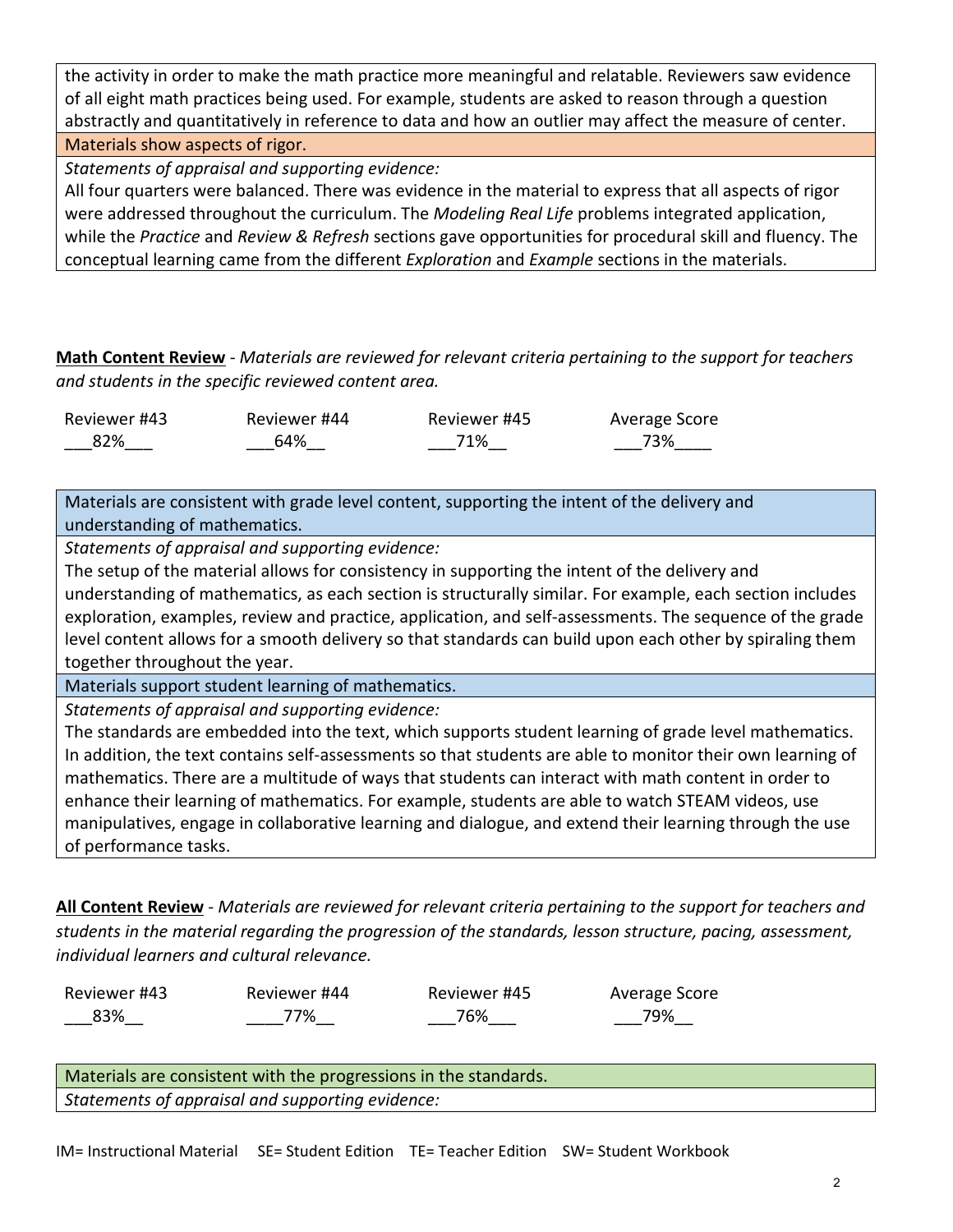the activity in order to make the math practice more meaningful and relatable. Reviewers saw evidence of all eight math practices being used. For example, students are asked to reason through a question abstractly and quantitatively in reference to data and how an outlier may affect the measure of center. Materials show aspects of rigor.

*Statements of appraisal and supporting evidence:*

All four quarters were balanced. There was evidence in the material to express that all aspects of rigor were addressed throughout the curriculum. The *Modeling Real Life* problems integrated application, while the *Practice* and *Review & Refresh* sections gave opportunities for procedural skill and fluency. The conceptual learning came from the different *Exploration* and *Example* sections in the materials.

**Math Content Review** - *Materials are reviewed for relevant criteria pertaining to the support for teachers and students in the specific reviewed content area.*

| Reviewer #43 | Reviewer #44 | Reviewer #45 | Average Score |
|--------------|--------------|--------------|---------------|
| 82%          | 64%          | 71%          | 73%           |

Materials are consistent with grade level content, supporting the intent of the delivery and understanding of mathematics.

*Statements of appraisal and supporting evidence:*

The setup of the material allows for consistency in supporting the intent of the delivery and understanding of mathematics, as each section is structurally similar. For example, each section includes exploration, examples, review and practice, application, and self-assessments. The sequence of the grade level content allows for a smooth delivery so that standards can build upon each other by spiraling them together throughout the year.

Materials support student learning of mathematics.

*Statements of appraisal and supporting evidence:*

The standards are embedded into the text, which supports student learning of grade level mathematics. In addition, the text contains self-assessments so that students are able to monitor their own learning of mathematics. There are a multitude of ways that students can interact with math content in order to enhance their learning of mathematics. For example, students are able to watch STEAM videos, use manipulatives, engage in collaborative learning and dialogue, and extend their learning through the use of performance tasks.

**All Content Review** - *Materials are reviewed for relevant criteria pertaining to the support for teachers and students in the material regarding the progression of the standards, lesson structure, pacing, assessment, individual learners and cultural relevance.*

Reviewer #43 \_\_\_83%\_\_

Reviewer #44 \_\_\_\_77%\_\_

Reviewer #45 \_\_\_76%\_\_\_

Average Score \_\_\_79%\_\_

Materials are consistent with the progressions in the standards. *Statements of appraisal and supporting evidence:*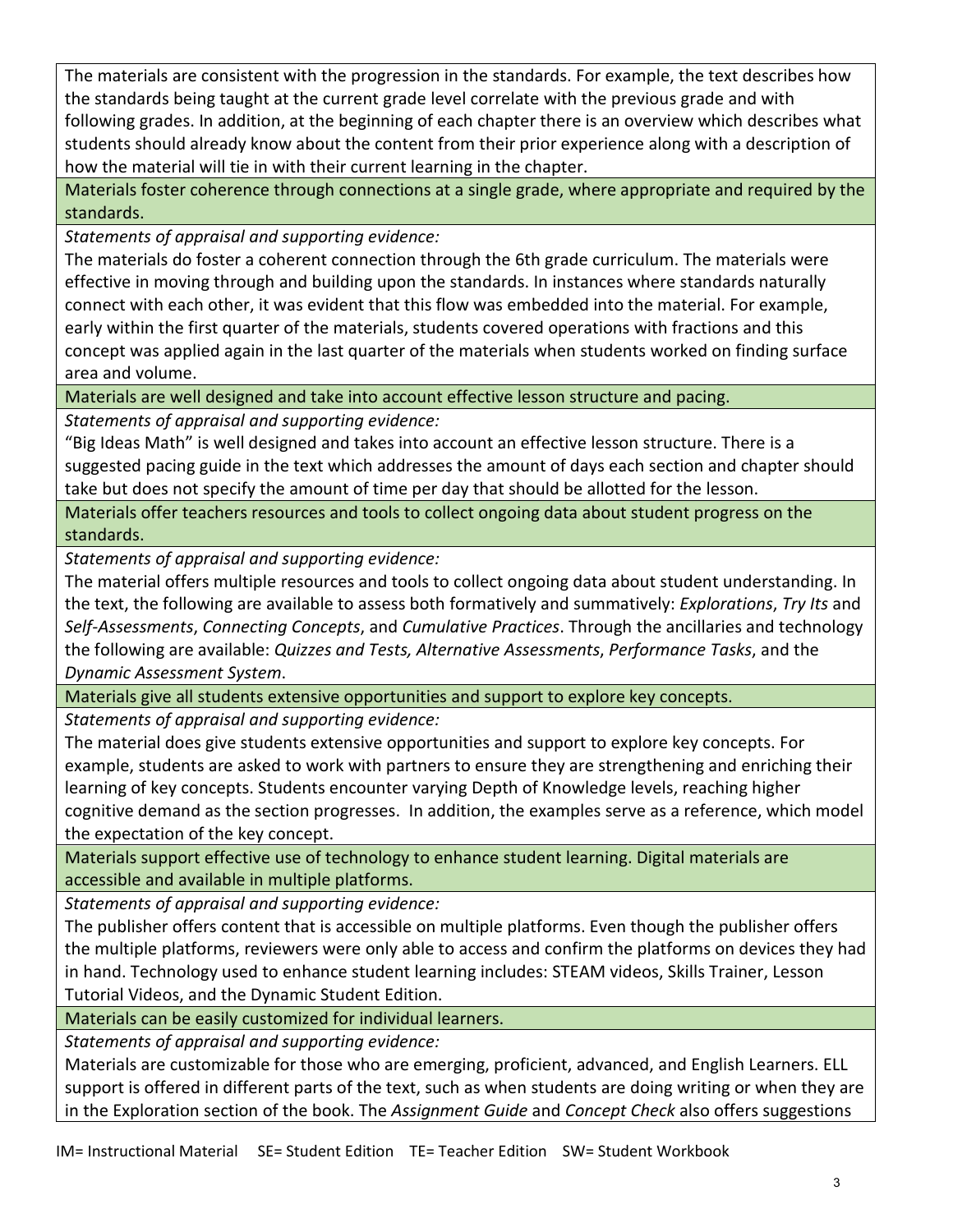The materials are consistent with the progression in the standards. For example, the text describes how the standards being taught at the current grade level correlate with the previous grade and with following grades. In addition, at the beginning of each chapter there is an overview which describes what students should already know about the content from their prior experience along with a description of how the material will tie in with their current learning in the chapter.

Materials foster coherence through connections at a single grade, where appropriate and required by the standards.

*Statements of appraisal and supporting evidence:*

The materials do foster a coherent connection through the 6th grade curriculum. The materials were effective in moving through and building upon the standards. In instances where standards naturally connect with each other, it was evident that this flow was embedded into the material. For example, early within the first quarter of the materials, students covered operations with fractions and this concept was applied again in the last quarter of the materials when students worked on finding surface area and volume.

Materials are well designed and take into account effective lesson structure and pacing.

*Statements of appraisal and supporting evidence:*

"Big Ideas Math" is well designed and takes into account an effective lesson structure. There is a suggested pacing guide in the text which addresses the amount of days each section and chapter should take but does not specify the amount of time per day that should be allotted for the lesson.

Materials offer teachers resources and tools to collect ongoing data about student progress on the standards.

*Statements of appraisal and supporting evidence:*

The material offers multiple resources and tools to collect ongoing data about student understanding. In the text, the following are available to assess both formatively and summatively: *Explorations*, *Try Its* and *Self-Assessments*, *Connecting Concepts*, and *Cumulative Practices*. Through the ancillaries and technology the following are available: *Quizzes and Tests, Alternative Assessments*, *Performance Tasks*, and the *Dynamic Assessment System*.

Materials give all students extensive opportunities and support to explore key concepts.

*Statements of appraisal and supporting evidence:*

The material does give students extensive opportunities and support to explore key concepts. For example, students are asked to work with partners to ensure they are strengthening and enriching their learning of key concepts. Students encounter varying Depth of Knowledge levels, reaching higher cognitive demand as the section progresses. In addition, the examples serve as a reference, which model the expectation of the key concept.

Materials support effective use of technology to enhance student learning. Digital materials are accessible and available in multiple platforms.

*Statements of appraisal and supporting evidence:*

The publisher offers content that is accessible on multiple platforms. Even though the publisher offers the multiple platforms, reviewers were only able to access and confirm the platforms on devices they had in hand. Technology used to enhance student learning includes: STEAM videos, Skills Trainer, Lesson Tutorial Videos, and the Dynamic Student Edition.

Materials can be easily customized for individual learners.

*Statements of appraisal and supporting evidence:*

Materials are customizable for those who are emerging, proficient, advanced, and English Learners. ELL support is offered in different parts of the text, such as when students are doing writing or when they are in the Exploration section of the book. The *Assignment Guide* and *Concept Check* also offers suggestions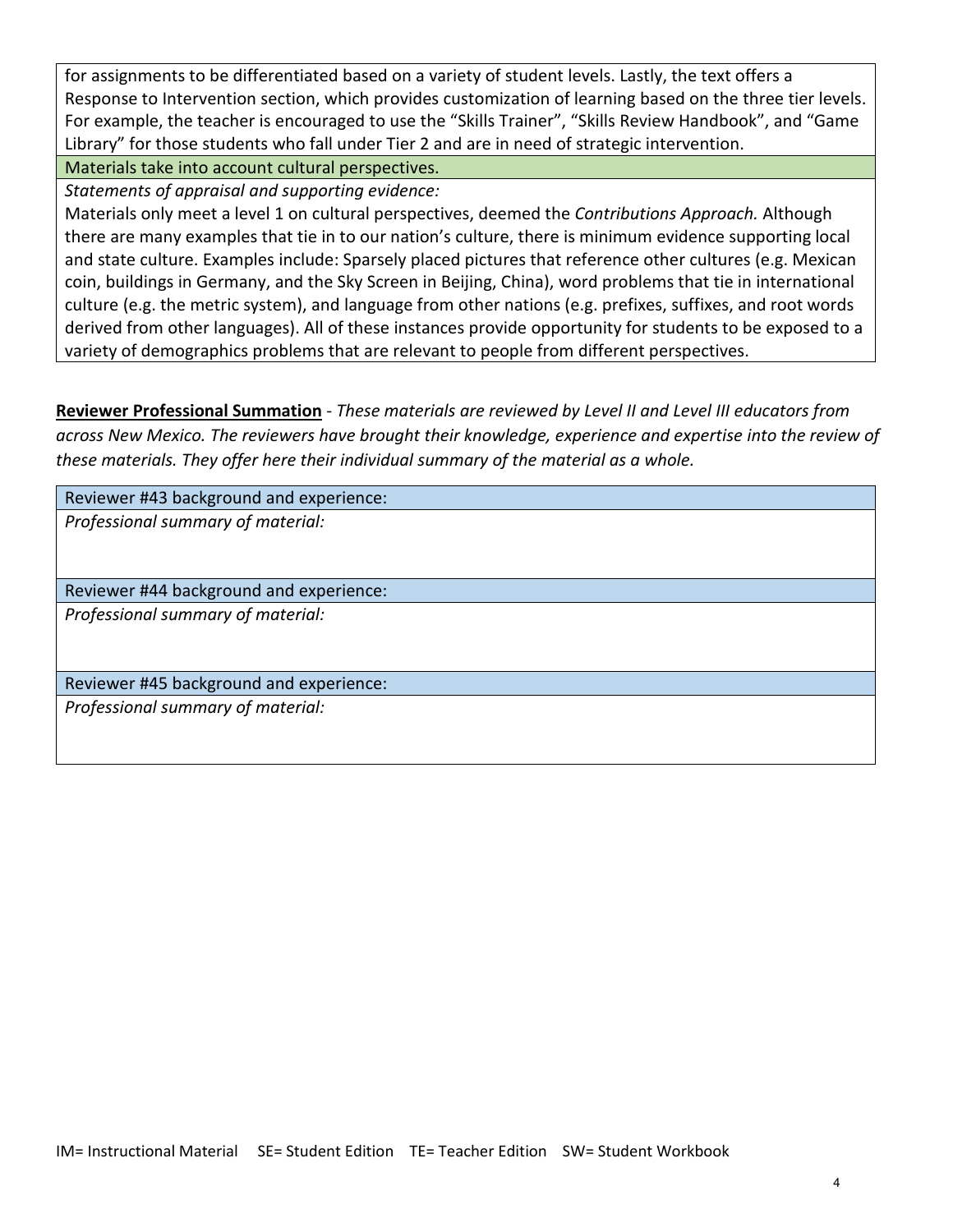for assignments to be differentiated based on a variety of student levels. Lastly, the text offers a Response to Intervention section, which provides customization of learning based on the three tier levels. For example, the teacher is encouraged to use the "Skills Trainer", "Skills Review Handbook", and "Game Library" for those students who fall under Tier 2 and are in need of strategic intervention.

Materials take into account cultural perspectives.

*Statements of appraisal and supporting evidence:*

Materials only meet a level 1 on cultural perspectives, deemed the *Contributions Approach.* Although there are many examples that tie in to our nation's culture, there is minimum evidence supporting local and state culture. Examples include: Sparsely placed pictures that reference other cultures (e.g. Mexican coin, buildings in Germany, and the Sky Screen in Beijing, China), word problems that tie in international culture (e.g. the metric system), and language from other nations (e.g. prefixes, suffixes, and root words derived from other languages). All of these instances provide opportunity for students to be exposed to a variety of demographics problems that are relevant to people from different perspectives.

**Reviewer Professional Summation** - *These materials are reviewed by Level II and Level III educators from across New Mexico. The reviewers have brought their knowledge, experience and expertise into the review of these materials. They offer here their individual summary of the material as a whole.* 

Reviewer #43 background and experience:

*Professional summary of material:*

Reviewer #44 background and experience: *Professional summary of material:*

Reviewer #45 background and experience: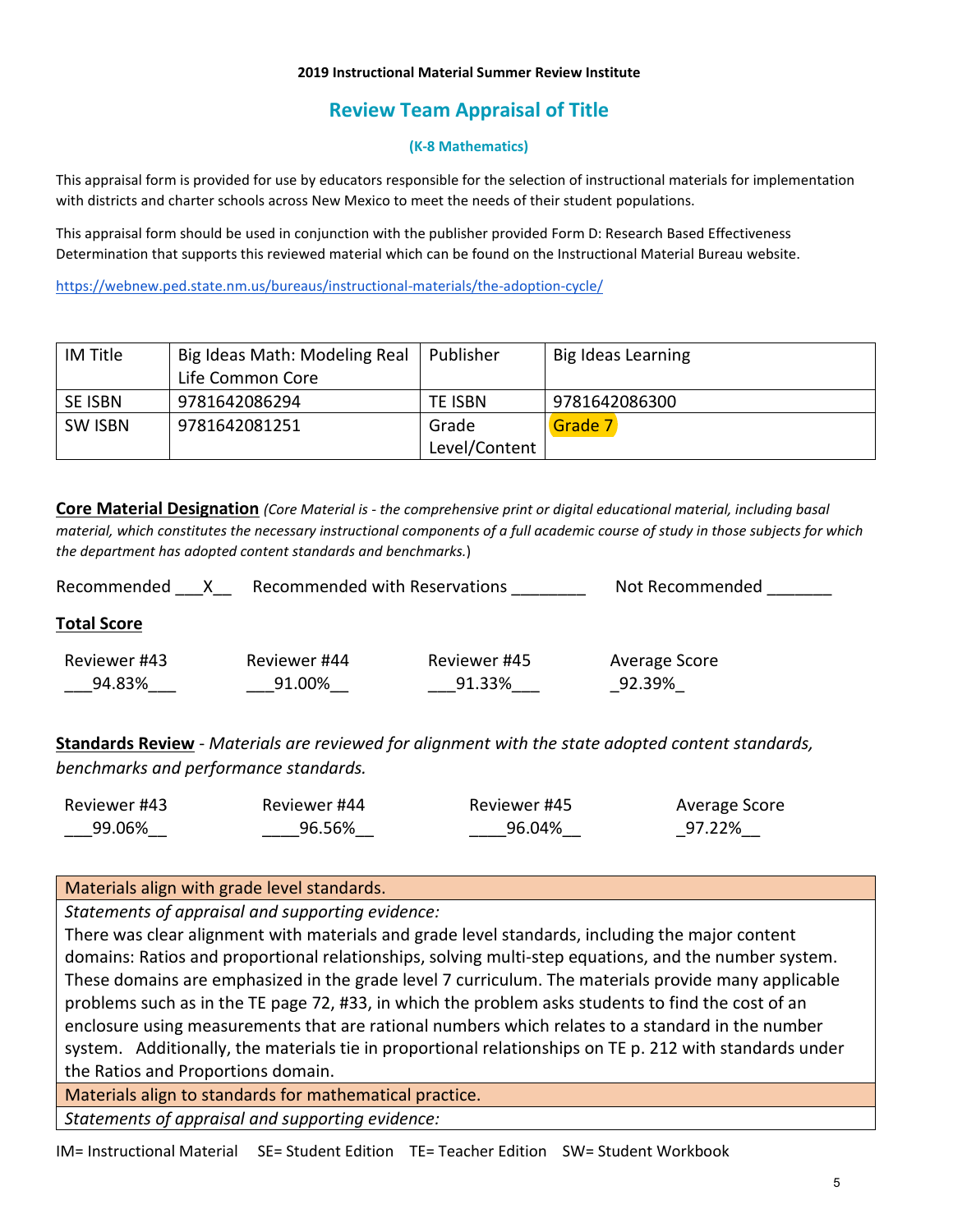### **2019 Instructional Material Summer Review Institute**

# **Review Team Appraisal of Title**

## **(K-8 Mathematics)**

This appraisal form is provided for use by educators responsible for the selection of instructional materials for implementation with districts and charter schools across New Mexico to meet the needs of their student populations.

This appraisal form should be used in conjunction with the publisher provided Form D: Research Based Effectiveness Determination that supports this reviewed material which can be found on the Instructional Material Bureau website.

<https://webnew.ped.state.nm.us/bureaus/instructional-materials/the-adoption-cycle/>

| IM Title       | Big Ideas Math: Modeling Real | l Publisher   | <b>Big Ideas Learning</b> |
|----------------|-------------------------------|---------------|---------------------------|
|                | Life Common Core              |               |                           |
| <b>SE ISBN</b> | 9781642086294                 | TE ISBN       | 9781642086300             |
| SW ISBN        | 9781642081251                 | Grade         | Grade 7                   |
|                |                               | Level/Content |                           |

**Core Material Designation** *(Core Material is - the comprehensive print or digital educational material, including basal material, which constitutes the necessary instructional components of a full academic course of study in those subjects for which the department has adopted content standards and benchmarks.*)

| Recommended            | Recommended with Reservations |                        | Not Recommended         |
|------------------------|-------------------------------|------------------------|-------------------------|
| <b>Total Score</b>     |                               |                        |                         |
| Reviewer #43<br>94.83% | Reviewer #44<br>91.00%        | Reviewer #45<br>91.33% | Average Score<br>92.39% |

**Standards Review** - *Materials are reviewed for alignment with the state adopted content standards, benchmarks and performance standards.*

| Reviewer #43 | Reviewer #44 | Reviewer #45 | Average Score |
|--------------|--------------|--------------|---------------|
| 99.06%       | 96.56%       | 96.04%       | 97.22%        |

## Materials align with grade level standards.

*Statements of appraisal and supporting evidence:*

There was clear alignment with materials and grade level standards, including the major content domains: Ratios and proportional relationships, solving multi-step equations, and the number system. These domains are emphasized in the grade level 7 curriculum. The materials provide many applicable problems such as in the TE page 72, #33, in which the problem asks students to find the cost of an enclosure using measurements that are rational numbers which relates to a standard in the number system. Additionally, the materials tie in proportional relationships on TE p. 212 with standards under the Ratios and Proportions domain.

Materials align to standards for mathematical practice.

*Statements of appraisal and supporting evidence:*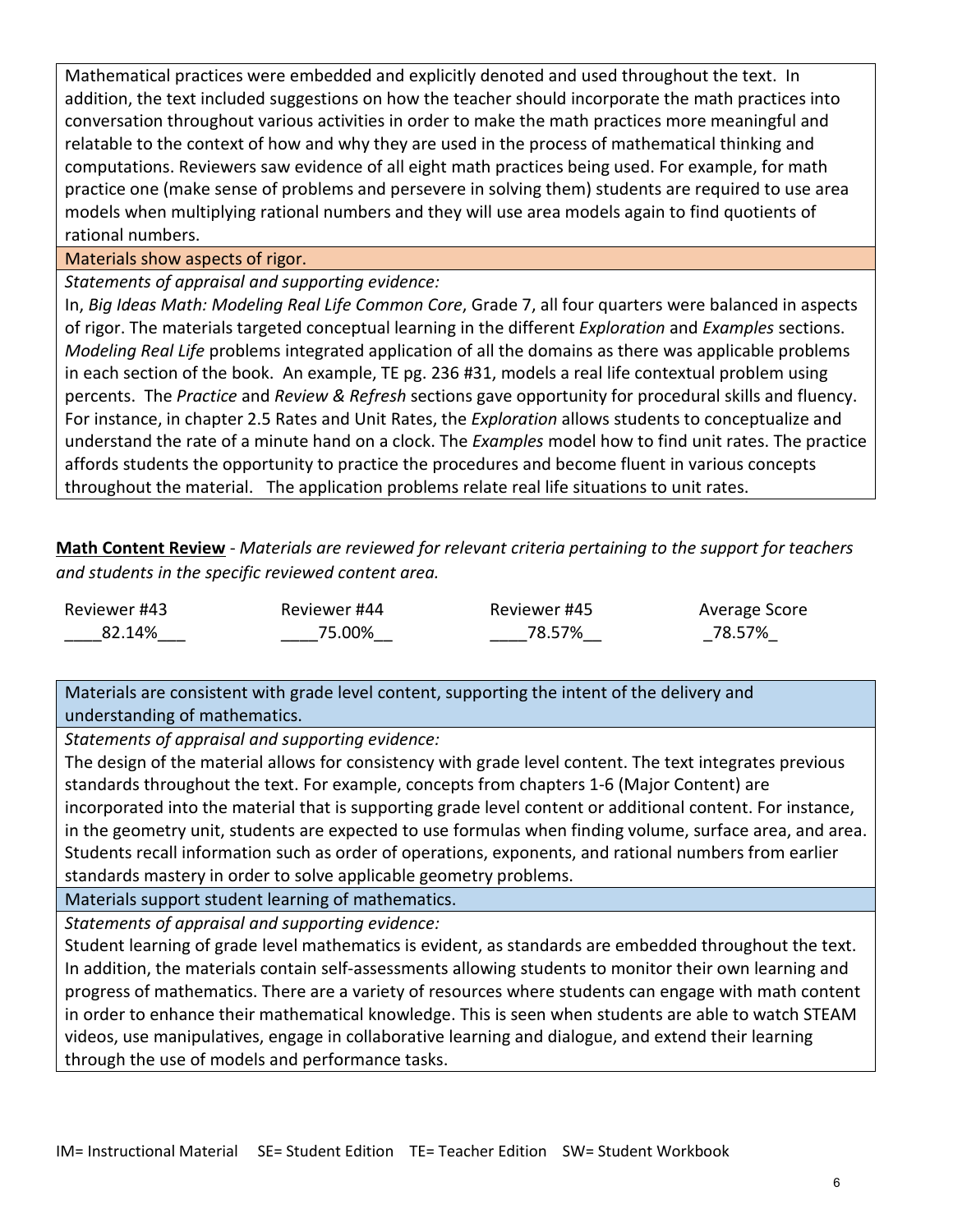Mathematical practices were embedded and explicitly denoted and used throughout the text. In addition, the text included suggestions on how the teacher should incorporate the math practices into conversation throughout various activities in order to make the math practices more meaningful and relatable to the context of how and why they are used in the process of mathematical thinking and computations. Reviewers saw evidence of all eight math practices being used. For example, for math practice one (make sense of problems and persevere in solving them) students are required to use area models when multiplying rational numbers and they will use area models again to find quotients of rational numbers.

Materials show aspects of rigor.

*Statements of appraisal and supporting evidence:*

In, *Big Ideas Math: Modeling Real Life Common Core*, Grade 7, all four quarters were balanced in aspects of rigor. The materials targeted conceptual learning in the different *Exploration* and *Examples* sections. *Modeling Real Life* problems integrated application of all the domains as there was applicable problems in each section of the book. An example, TE pg. 236 #31, models a real life contextual problem using percents. The *Practice* and *Review & Refresh* sections gave opportunity for procedural skills and fluency. For instance, in chapter 2.5 Rates and Unit Rates, the *Exploration* allows students to conceptualize and understand the rate of a minute hand on a clock. The *Examples* model how to find unit rates. The practice affords students the opportunity to practice the procedures and become fluent in various concepts throughout the material. The application problems relate real life situations to unit rates.

**Math Content Review** - *Materials are reviewed for relevant criteria pertaining to the support for teachers and students in the specific reviewed content area.*

Reviewer #43 \_\_\_\_82.14%\_\_\_ Reviewer #44 \_\_\_\_75.00%\_\_ Reviewer #45 \_\_\_\_78.57%\_\_ Average Score \_78.57%\_

Materials are consistent with grade level content, supporting the intent of the delivery and understanding of mathematics.

*Statements of appraisal and supporting evidence:*

The design of the material allows for consistency with grade level content. The text integrates previous standards throughout the text. For example, concepts from chapters 1-6 (Major Content) are incorporated into the material that is supporting grade level content or additional content. For instance, in the geometry unit, students are expected to use formulas when finding volume, surface area, and area. Students recall information such as order of operations, exponents, and rational numbers from earlier standards mastery in order to solve applicable geometry problems.

Materials support student learning of mathematics.

*Statements of appraisal and supporting evidence:*

Student learning of grade level mathematics is evident, as standards are embedded throughout the text. In addition, the materials contain self-assessments allowing students to monitor their own learning and progress of mathematics. There are a variety of resources where students can engage with math content in order to enhance their mathematical knowledge. This is seen when students are able to watch STEAM videos, use manipulatives, engage in collaborative learning and dialogue, and extend their learning through the use of models and performance tasks.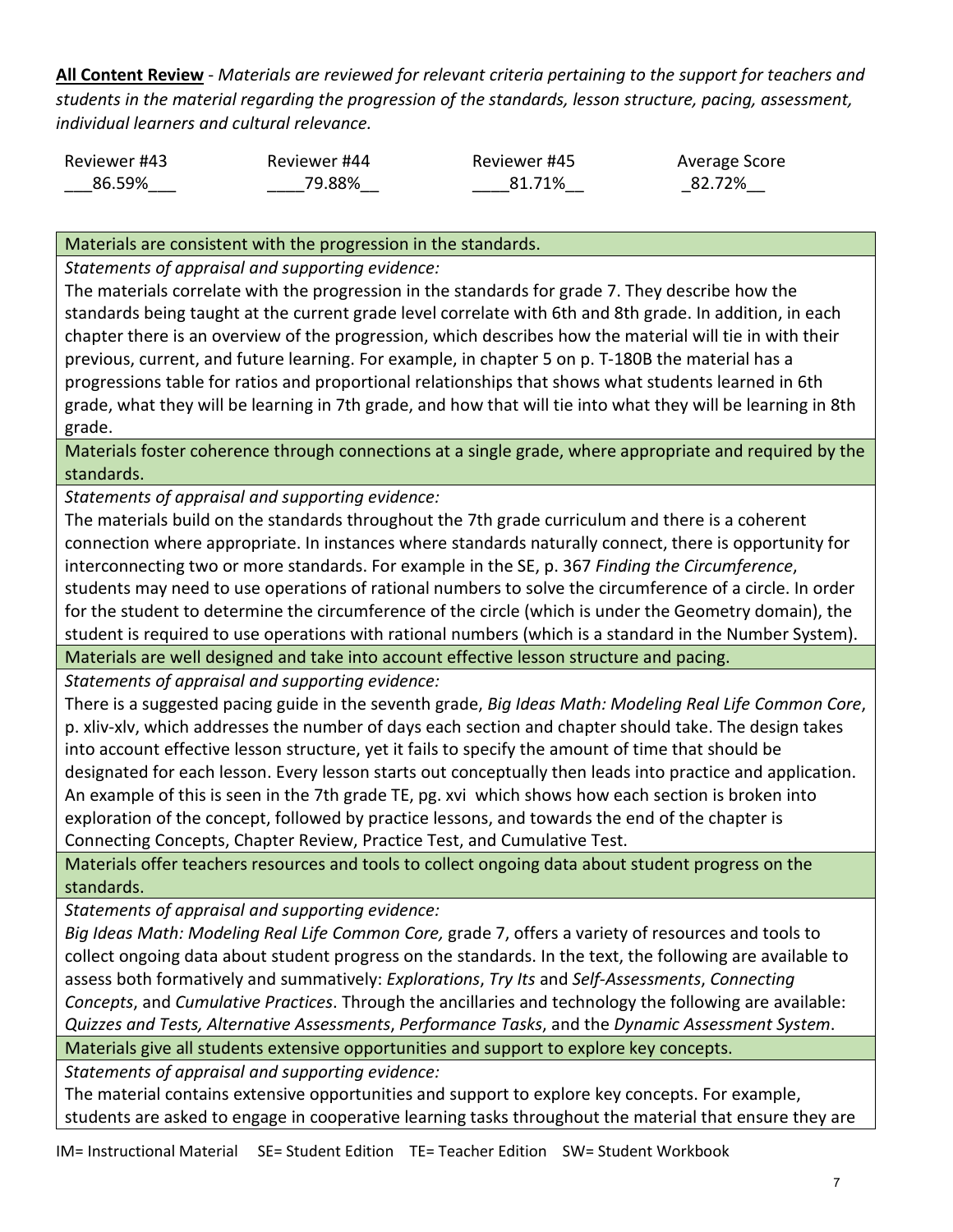**All Content Review** - *Materials are reviewed for relevant criteria pertaining to the support for teachers and students in the material regarding the progression of the standards, lesson structure, pacing, assessment, individual learners and cultural relevance.*

| Reviewer #43 | Reviewer #44 | Reviewer #45 | Average Score |
|--------------|--------------|--------------|---------------|
| 86.59%       | 79.88%       | 81.71%       | 82.72%        |

Materials are consistent with the progression in the standards.

*Statements of appraisal and supporting evidence:*

The materials correlate with the progression in the standards for grade 7. They describe how the standards being taught at the current grade level correlate with 6th and 8th grade. In addition, in each chapter there is an overview of the progression, which describes how the material will tie in with their previous, current, and future learning. For example, in chapter 5 on p. T-180B the material has a progressions table for ratios and proportional relationships that shows what students learned in 6th grade, what they will be learning in 7th grade, and how that will tie into what they will be learning in 8th grade.

Materials foster coherence through connections at a single grade, where appropriate and required by the standards.

*Statements of appraisal and supporting evidence:*

The materials build on the standards throughout the 7th grade curriculum and there is a coherent connection where appropriate. In instances where standards naturally connect, there is opportunity for interconnecting two or more standards. For example in the SE, p. 367 *Finding the Circumference*, students may need to use operations of rational numbers to solve the circumference of a circle. In order for the student to determine the circumference of the circle (which is under the Geometry domain), the student is required to use operations with rational numbers (which is a standard in the Number System).

Materials are well designed and take into account effective lesson structure and pacing.

*Statements of appraisal and supporting evidence:*

There is a suggested pacing guide in the seventh grade, *Big Ideas Math: Modeling Real Life Common Core*, p. xliv-xlv, which addresses the number of days each section and chapter should take. The design takes into account effective lesson structure, yet it fails to specify the amount of time that should be designated for each lesson. Every lesson starts out conceptually then leads into practice and application. An example of this is seen in the 7th grade TE, pg. xvi which shows how each section is broken into exploration of the concept, followed by practice lessons, and towards the end of the chapter is Connecting Concepts, Chapter Review, Practice Test, and Cumulative Test.

Materials offer teachers resources and tools to collect ongoing data about student progress on the standards.

*Statements of appraisal and supporting evidence:*

*Big Ideas Math: Modeling Real Life Common Core,* grade 7, offers a variety of resources and tools to collect ongoing data about student progress on the standards. In the text, the following are available to assess both formatively and summatively: *Explorations*, *Try Its* and *Self-Assessments*, *Connecting Concepts*, and *Cumulative Practices*. Through the ancillaries and technology the following are available: *Quizzes and Tests, Alternative Assessments*, *Performance Tasks*, and the *Dynamic Assessment System*.

Materials give all students extensive opportunities and support to explore key concepts.

*Statements of appraisal and supporting evidence:*

The material contains extensive opportunities and support to explore key concepts. For example, students are asked to engage in cooperative learning tasks throughout the material that ensure they are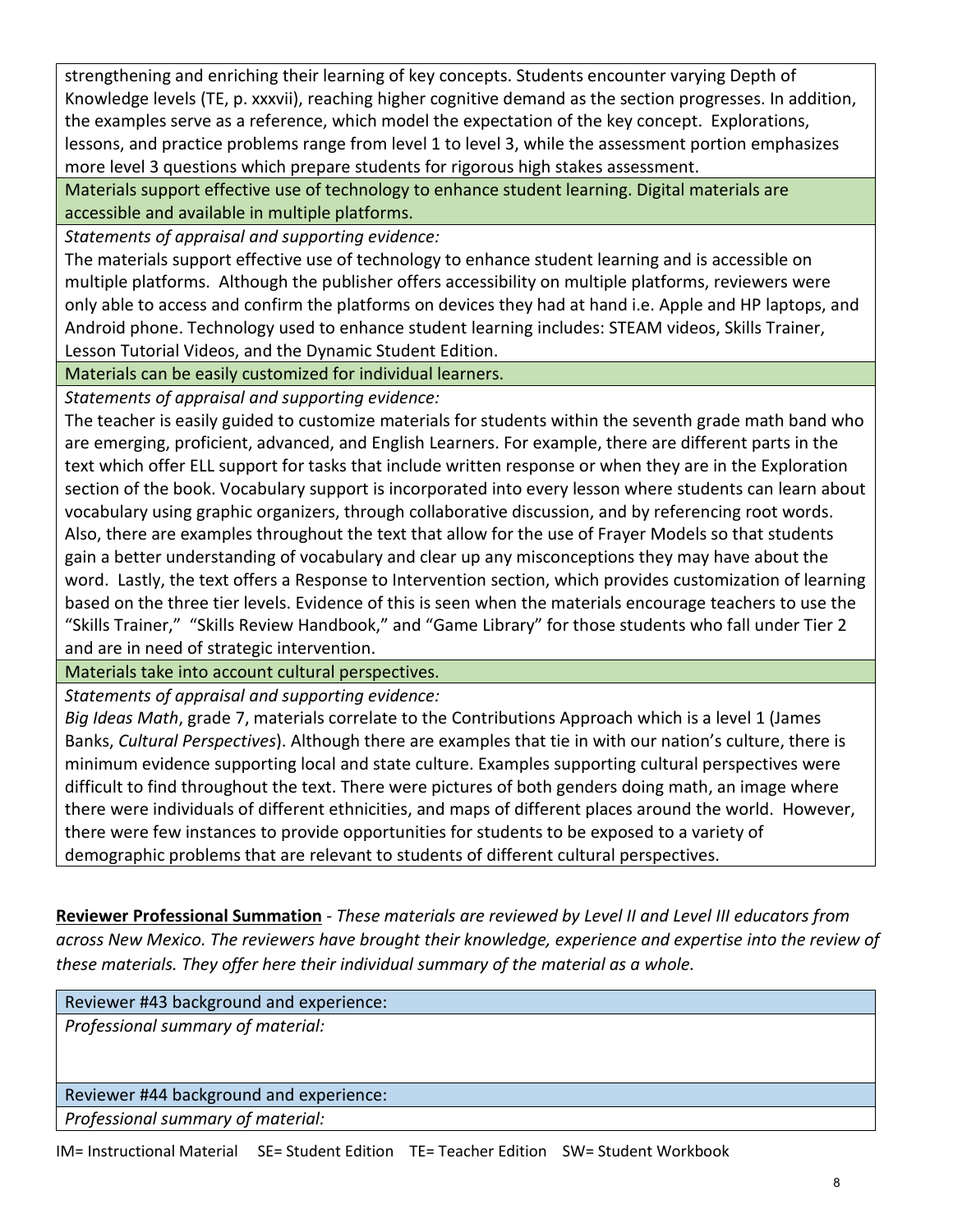strengthening and enriching their learning of key concepts. Students encounter varying Depth of Knowledge levels (TE, p. xxxvii), reaching higher cognitive demand as the section progresses. In addition, the examples serve as a reference, which model the expectation of the key concept. Explorations, lessons, and practice problems range from level 1 to level 3, while the assessment portion emphasizes more level 3 questions which prepare students for rigorous high stakes assessment.

Materials support effective use of technology to enhance student learning. Digital materials are accessible and available in multiple platforms.

*Statements of appraisal and supporting evidence:*

The materials support effective use of technology to enhance student learning and is accessible on multiple platforms. Although the publisher offers accessibility on multiple platforms, reviewers were only able to access and confirm the platforms on devices they had at hand i.e. Apple and HP laptops, and Android phone. Technology used to enhance student learning includes: STEAM videos, Skills Trainer, Lesson Tutorial Videos, and the Dynamic Student Edition.

Materials can be easily customized for individual learners.

*Statements of appraisal and supporting evidence:*

The teacher is easily guided to customize materials for students within the seventh grade math band who are emerging, proficient, advanced, and English Learners. For example, there are different parts in the text which offer ELL support for tasks that include written response or when they are in the Exploration section of the book. Vocabulary support is incorporated into every lesson where students can learn about vocabulary using graphic organizers, through collaborative discussion, and by referencing root words. Also, there are examples throughout the text that allow for the use of Frayer Models so that students gain a better understanding of vocabulary and clear up any misconceptions they may have about the word. Lastly, the text offers a Response to Intervention section, which provides customization of learning based on the three tier levels. Evidence of this is seen when the materials encourage teachers to use the "Skills Trainer," "Skills Review Handbook," and "Game Library" for those students who fall under Tier 2 and are in need of strategic intervention.

Materials take into account cultural perspectives.

*Statements of appraisal and supporting evidence:*

*Big Ideas Math*, grade 7, materials correlate to the Contributions Approach which is a level 1 (James Banks, *Cultural Perspectives*). Although there are examples that tie in with our nation's culture, there is minimum evidence supporting local and state culture. Examples supporting cultural perspectives were difficult to find throughout the text. There were pictures of both genders doing math, an image where there were individuals of different ethnicities, and maps of different places around the world. However, there were few instances to provide opportunities for students to be exposed to a variety of demographic problems that are relevant to students of different cultural perspectives.

**Reviewer Professional Summation** - *These materials are reviewed by Level II and Level III educators from across New Mexico. The reviewers have brought their knowledge, experience and expertise into the review of these materials. They offer here their individual summary of the material as a whole.* 

Reviewer #43 background and experience:

*Professional summary of material:*

Reviewer #44 background and experience: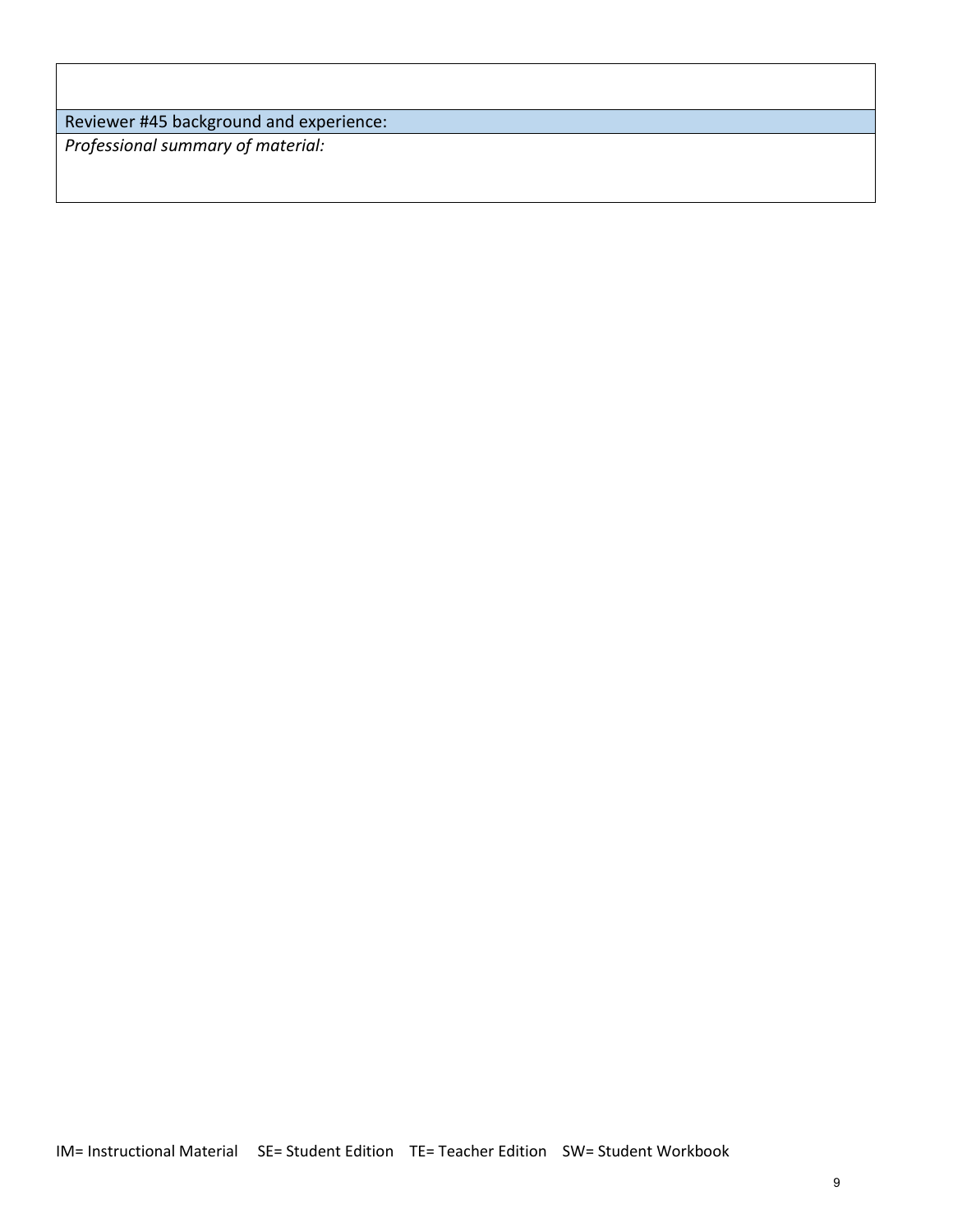Reviewer #45 background and experience: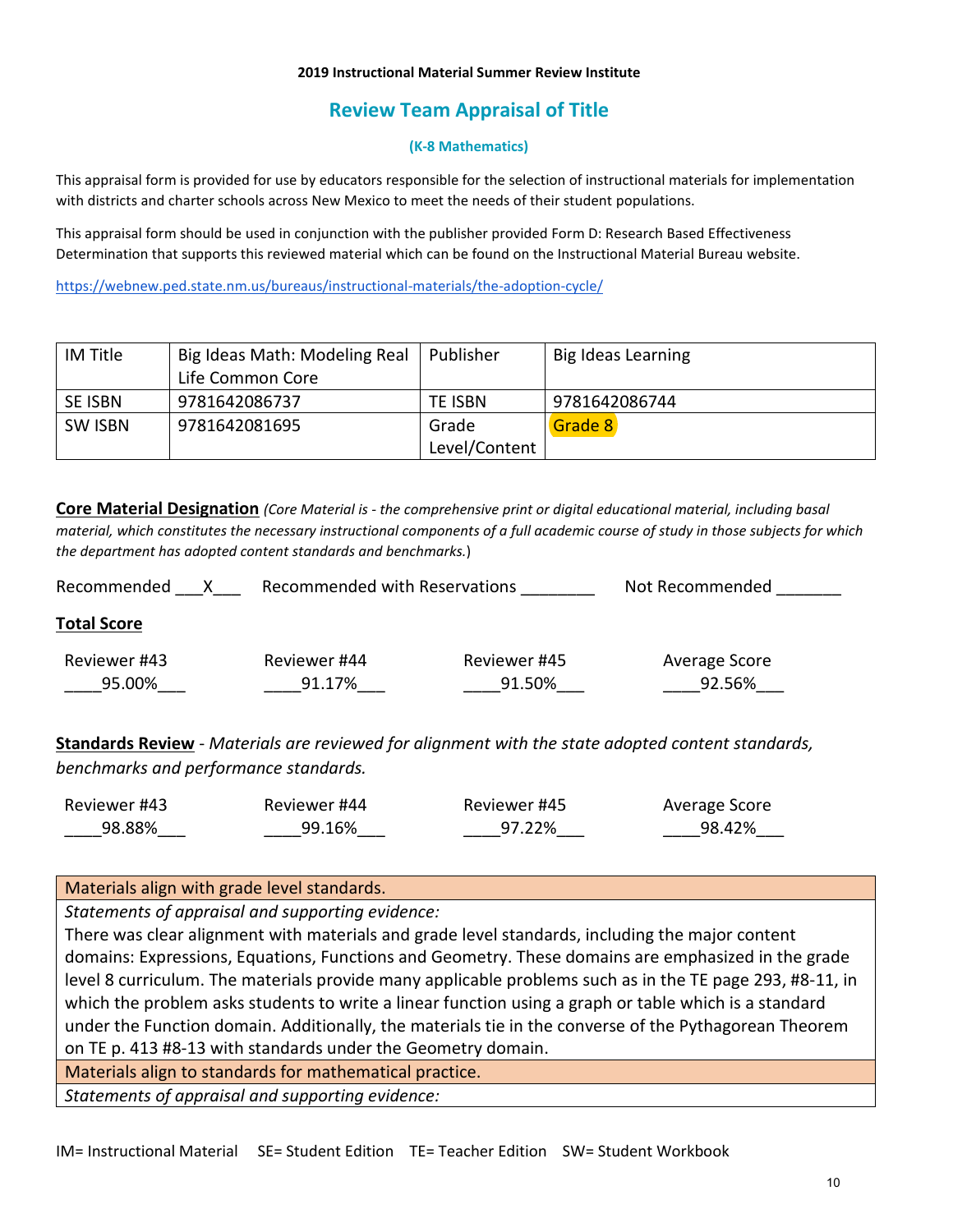#### **2019 Instructional Material Summer Review Institute**

# **Review Team Appraisal of Title**

## **(K-8 Mathematics)**

This appraisal form is provided for use by educators responsible for the selection of instructional materials for implementation with districts and charter schools across New Mexico to meet the needs of their student populations.

This appraisal form should be used in conjunction with the publisher provided Form D: Research Based Effectiveness Determination that supports this reviewed material which can be found on the Instructional Material Bureau website.

<https://webnew.ped.state.nm.us/bureaus/instructional-materials/the-adoption-cycle/>

| IM Title       | Big Ideas Math: Modeling Real | Publisher     | Big Ideas Learning |
|----------------|-------------------------------|---------------|--------------------|
|                | Life Common Core              |               |                    |
| <b>SE ISBN</b> | 9781642086737                 | TE ISBN       | 9781642086744      |
| SW ISBN        | 9781642081695                 | Grade         | Grade 8            |
|                |                               | Level/Content |                    |

**Core Material Designation** *(Core Material is - the comprehensive print or digital educational material, including basal material, which constitutes the necessary instructional components of a full academic course of study in those subjects for which the department has adopted content standards and benchmarks.*)

| Recommended            | Recommended with Reservations |                        | Not Recommended         |  |
|------------------------|-------------------------------|------------------------|-------------------------|--|
| <b>Total Score</b>     |                               |                        |                         |  |
| Reviewer #43<br>95.00% | Reviewer #44<br>91.17%        | Reviewer #45<br>91.50% | Average Score<br>92.56% |  |
|                        |                               |                        |                         |  |

**Standards Review** - *Materials are reviewed for alignment with the state adopted content standards, benchmarks and performance standards.*

| Reviewer #43 | Reviewer #44 | Reviewer #45 | Average Score |
|--------------|--------------|--------------|---------------|
| 98.88%       | 99.16%       | 97.22%       | 98.42%        |

## Materials align with grade level standards.

*Statements of appraisal and supporting evidence:*

There was clear alignment with materials and grade level standards, including the major content domains: Expressions, Equations, Functions and Geometry. These domains are emphasized in the grade level 8 curriculum. The materials provide many applicable problems such as in the TE page 293, #8-11, in which the problem asks students to write a linear function using a graph or table which is a standard under the Function domain. Additionally, the materials tie in the converse of the Pythagorean Theorem on TE p. 413 #8-13 with standards under the Geometry domain.

Materials align to standards for mathematical practice.

*Statements of appraisal and supporting evidence:*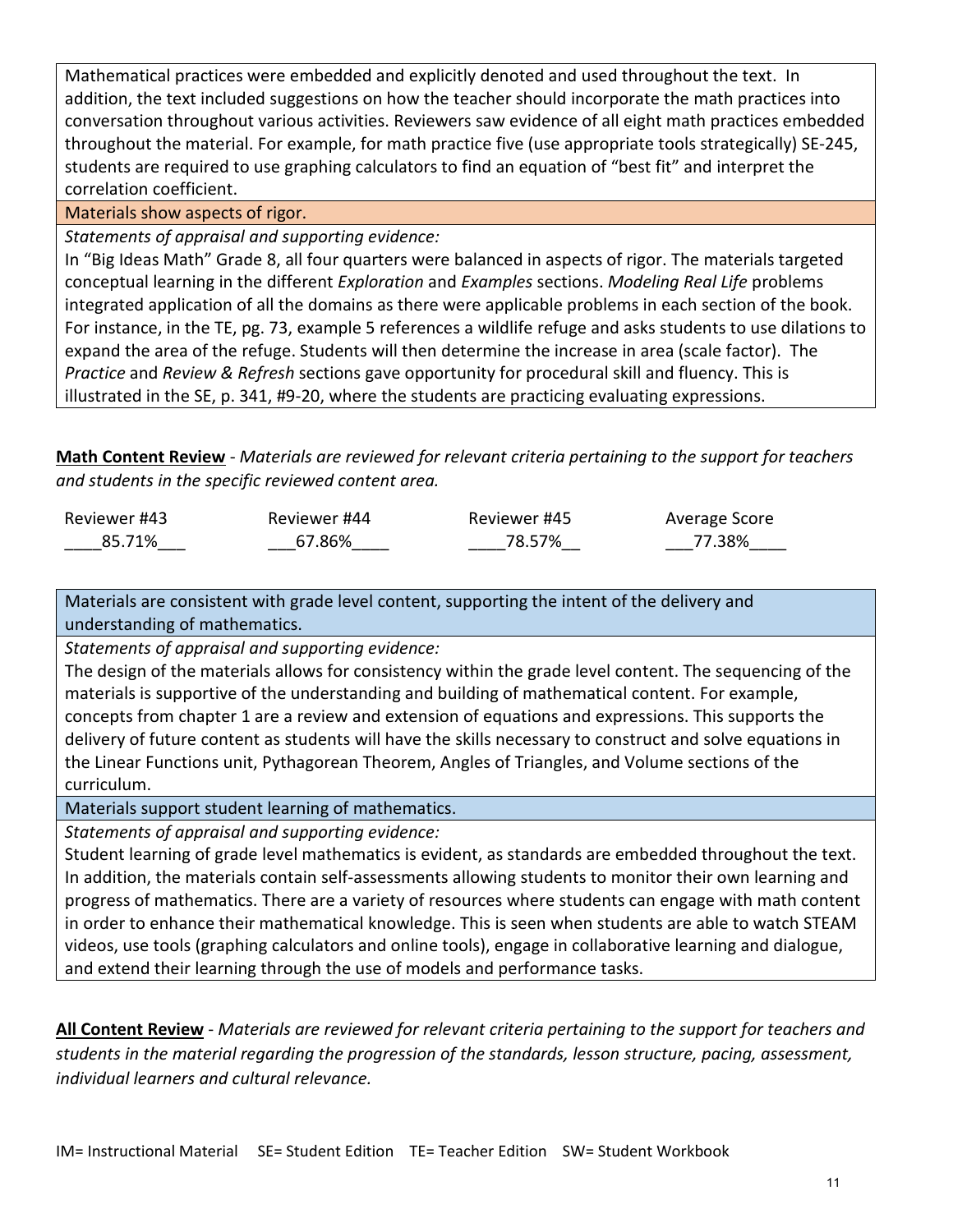Mathematical practices were embedded and explicitly denoted and used throughout the text. In addition, the text included suggestions on how the teacher should incorporate the math practices into conversation throughout various activities. Reviewers saw evidence of all eight math practices embedded throughout the material. For example, for math practice five (use appropriate tools strategically) SE-245, students are required to use graphing calculators to find an equation of "best fit" and interpret the correlation coefficient.

Materials show aspects of rigor.

*Statements of appraisal and supporting evidence:*

In "Big Ideas Math" Grade 8, all four quarters were balanced in aspects of rigor. The materials targeted conceptual learning in the different *Exploration* and *Examples* sections. *Modeling Real Life* problems integrated application of all the domains as there were applicable problems in each section of the book. For instance, in the TE, pg. 73, example 5 references a wildlife refuge and asks students to use dilations to expand the area of the refuge. Students will then determine the increase in area (scale factor). The *Practice* and *Review & Refresh* sections gave opportunity for procedural skill and fluency. This is illustrated in the SE, p. 341, #9-20, where the students are practicing evaluating expressions.

**Math Content Review** - *Materials are reviewed for relevant criteria pertaining to the support for teachers and students in the specific reviewed content area.*

| Reviewer #43 | Reviewer #44 | Reviewer #45 | Average Score |
|--------------|--------------|--------------|---------------|
| 85.71%       | 67.86%       | 78.57%       | 77.38%        |

Materials are consistent with grade level content, supporting the intent of the delivery and understanding of mathematics.

*Statements of appraisal and supporting evidence:*

The design of the materials allows for consistency within the grade level content. The sequencing of the materials is supportive of the understanding and building of mathematical content. For example, concepts from chapter 1 are a review and extension of equations and expressions. This supports the delivery of future content as students will have the skills necessary to construct and solve equations in the Linear Functions unit, Pythagorean Theorem, Angles of Triangles, and Volume sections of the curriculum.

Materials support student learning of mathematics.

*Statements of appraisal and supporting evidence:*

Student learning of grade level mathematics is evident, as standards are embedded throughout the text. In addition, the materials contain self-assessments allowing students to monitor their own learning and progress of mathematics. There are a variety of resources where students can engage with math content in order to enhance their mathematical knowledge. This is seen when students are able to watch STEAM videos, use tools (graphing calculators and online tools), engage in collaborative learning and dialogue, and extend their learning through the use of models and performance tasks.

**All Content Review** - *Materials are reviewed for relevant criteria pertaining to the support for teachers and students in the material regarding the progression of the standards, lesson structure, pacing, assessment, individual learners and cultural relevance.*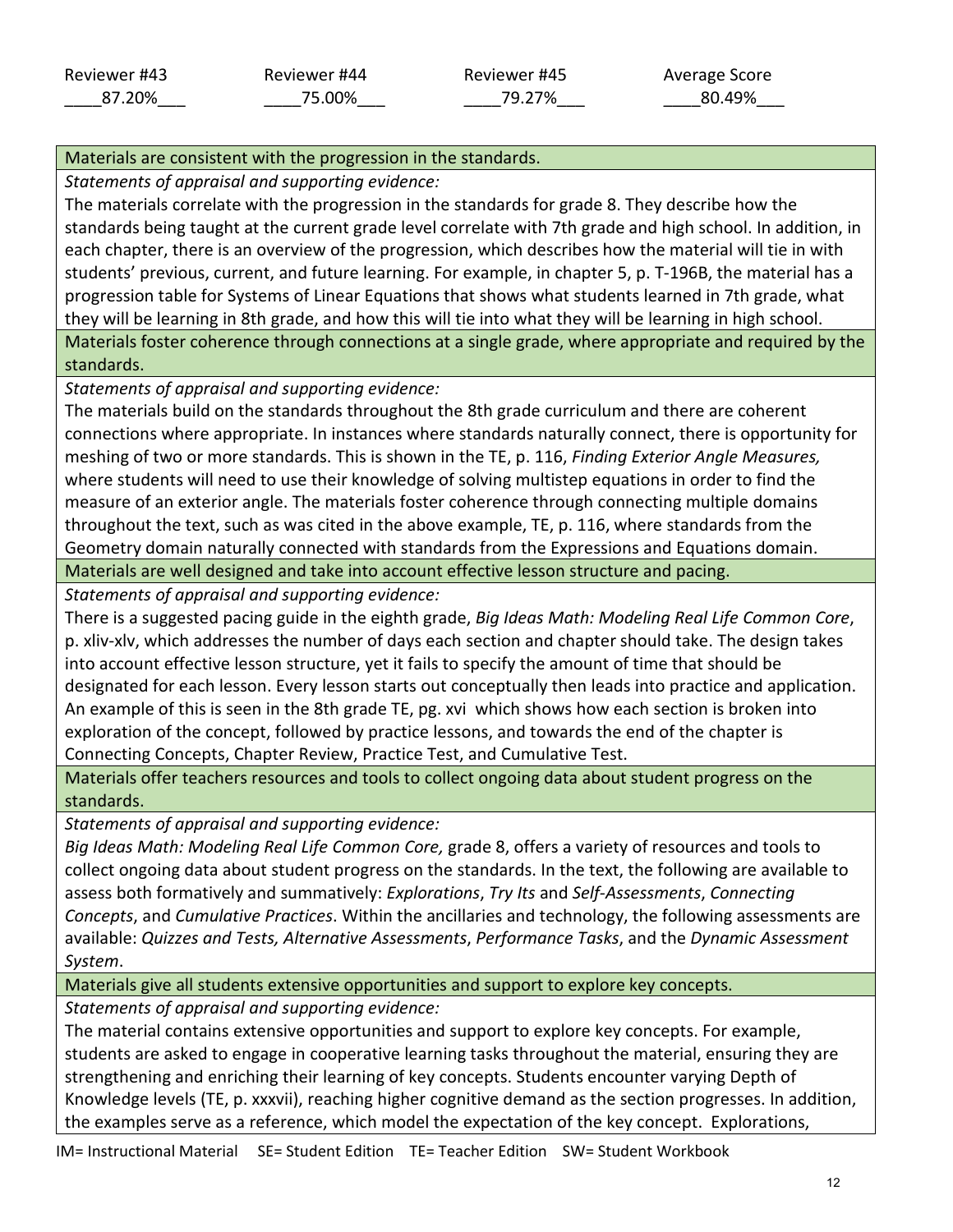Average Score \_\_\_\_80.49%\_\_\_

## Materials are consistent with the progression in the standards.

*Statements of appraisal and supporting evidence:*

The materials correlate with the progression in the standards for grade 8. They describe how the standards being taught at the current grade level correlate with 7th grade and high school. In addition, in each chapter, there is an overview of the progression, which describes how the material will tie in with students' previous, current, and future learning. For example, in chapter 5, p. T-196B, the material has a progression table for Systems of Linear Equations that shows what students learned in 7th grade, what they will be learning in 8th grade, and how this will tie into what they will be learning in high school.

Materials foster coherence through connections at a single grade, where appropriate and required by the standards.

*Statements of appraisal and supporting evidence:*

The materials build on the standards throughout the 8th grade curriculum and there are coherent connections where appropriate. In instances where standards naturally connect, there is opportunity for meshing of two or more standards. This is shown in the TE, p. 116, *Finding Exterior Angle Measures,*  where students will need to use their knowledge of solving multistep equations in order to find the measure of an exterior angle. The materials foster coherence through connecting multiple domains throughout the text, such as was cited in the above example, TE, p. 116, where standards from the Geometry domain naturally connected with standards from the Expressions and Equations domain. Materials are well designed and take into account effective lesson structure and pacing.

*Statements of appraisal and supporting evidence:*

There is a suggested pacing guide in the eighth grade, *Big Ideas Math: Modeling Real Life Common Core*, p. xliv-xlv, which addresses the number of days each section and chapter should take. The design takes into account effective lesson structure, yet it fails to specify the amount of time that should be designated for each lesson. Every lesson starts out conceptually then leads into practice and application. An example of this is seen in the 8th grade TE, pg. xvi which shows how each section is broken into exploration of the concept, followed by practice lessons, and towards the end of the chapter is Connecting Concepts, Chapter Review, Practice Test, and Cumulative Test.

Materials offer teachers resources and tools to collect ongoing data about student progress on the standards.

*Statements of appraisal and supporting evidence:*

*Big Ideas Math: Modeling Real Life Common Core,* grade 8, offers a variety of resources and tools to collect ongoing data about student progress on the standards. In the text, the following are available to assess both formatively and summatively: *Explorations*, *Try Its* and *Self-Assessments*, *Connecting Concepts*, and *Cumulative Practices*. Within the ancillaries and technology, the following assessments are available: *Quizzes and Tests, Alternative Assessments*, *Performance Tasks*, and the *Dynamic Assessment System*.

Materials give all students extensive opportunities and support to explore key concepts.

*Statements of appraisal and supporting evidence:*

The material contains extensive opportunities and support to explore key concepts. For example, students are asked to engage in cooperative learning tasks throughout the material, ensuring they are strengthening and enriching their learning of key concepts. Students encounter varying Depth of Knowledge levels (TE, p. xxxvii), reaching higher cognitive demand as the section progresses. In addition, the examples serve as a reference, which model the expectation of the key concept. Explorations,